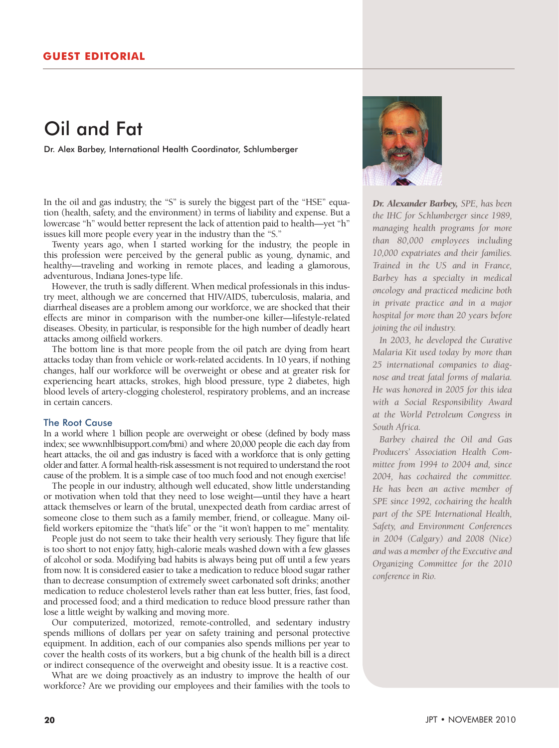## Oil and Fat

Dr. Alex Barbey, International Health Coordinator, Schlumberger

In the oil and gas industry, the "S" is surely the biggest part of the "HSE" equation (health, safety, and the environment) in terms of liability and expense. But a lowercase "h" would better represent the lack of attention paid to health—yet "h" issues kill more people every year in the industry than the "S."

Twenty years ago, when I started working for the industry, the people in this profession were perceived by the general public as young, dynamic, and healthy—traveling and working in remote places, and leading a glamorous, adventurous, Indiana Jones-type life.

However, the truth is sadly different. When medical professionals in this industry meet, although we are concerned that HIV/AIDS, tuberculosis, malaria, and diarrheal diseases are a problem among our workforce, we are shocked that their effects are minor in comparison with the number-one killer—lifestyle-related diseases. Obesity, in particular, is responsible for the high number of deadly heart attacks among oilfield workers.

The bottom line is that more people from the oil patch are dying from heart attacks today than from vehicle or work-related accidents. In 10 years, if nothing changes, half our workforce will be overweight or obese and at greater risk for experiencing heart attacks, strokes, high blood pressure, type 2 diabetes, high blood levels of artery-clogging cholesterol, respiratory problems, and an increase in certain cancers.

## The Root Cause

In a world where 1 billion people are overweight or obese (defined by body mass index; see www.nhlbisupport.com/bmi) and where 20,000 people die each day from heart attacks, the oil and gas industry is faced with a workforce that is only getting older and fatter. A formal health-risk assessment is not required to understand the root cause of the problem. It is a simple case of too much food and not enough exercise!

The people in our industry, although well educated, show little understanding or motivation when told that they need to lose weight—until they have a heart attack themselves or learn of the brutal, unexpected death from cardiac arrest of someone close to them such as a family member, friend, or colleague. Many oilfield workers epitomize the "that's life" or the "it won't happen to me" mentality.

People just do not seem to take their health very seriously. They figure that life is too short to not enjoy fatty, high-calorie meals washed down with a few glasses of alcohol or soda. Modifying bad habits is always being put off until a few years from now. It is considered easier to take a medication to reduce blood sugar rather than to decrease consumption of extremely sweet carbonated soft drinks; another medication to reduce cholesterol levels rather than eat less butter, fries, fast food, and processed food; and a third medication to reduce blood pressure rather than lose a little weight by walking and moving more.

Our computerized, motorized, remote-controlled, and sedentary industry spends millions of dollars per year on safety training and personal protective equipment. In addition, each of our companies also spends millions per year to cover the health costs of its workers, but a big chunk of the health bill is a direct or indirect consequence of the overweight and obesity issue. It is a reactive cost.

What are we doing proactively as an industry to improve the health of our workforce? Are we providing our employees and their families with the tools to



*Dr. Alexander Barbey, SPE, has been the IHC for Schlumberger since 1989, managing health programs for more than 80,000 employees including 10,000 expatriates and their families. Trained in the US and in France, Barbey has a specialty in medical oncology and practiced medicine both in private practice and in a major hospital for more than 20 years before joining the oil industry.*

*In 2003, he developed the Curative Malaria Kit used today by more than 25 international companies to diagnose and treat fatal forms of malaria. He was honored in 2005 for this idea with a Social Responsibility Award at the World Petroleum Congress in South Africa.* 

*Barbey chaired the Oil and Gas Producers' Association Health Committee from 1994 to 2004 and, since 2004, has cochaired the committee. He has been an active member of SPE since 1992, cochairing the health part of the SPE International Health, Safety, and Environment Conferences in 2004 (Calgary) and 2008 (Nice) and was a member of the Executive and Organizing Committee for the 2010 conference in Rio.*